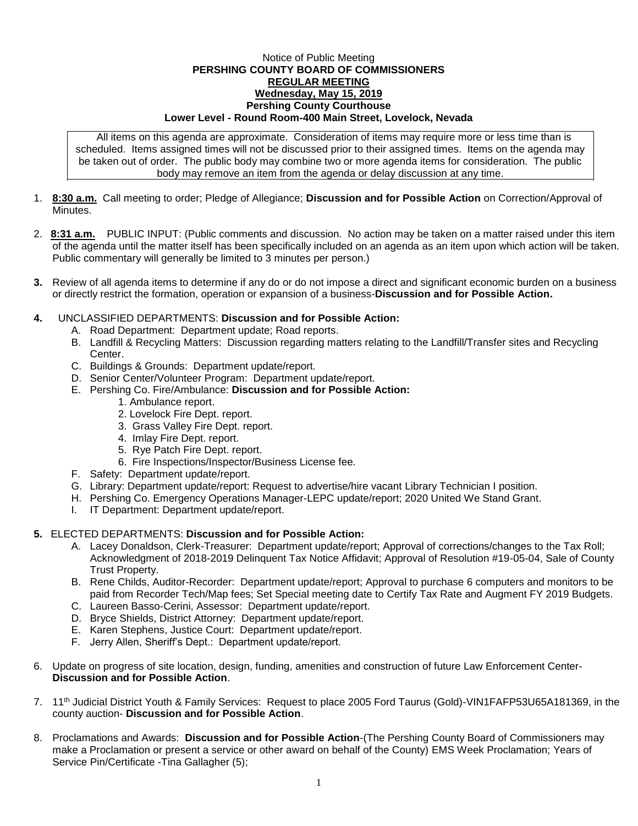## Notice of Public Meeting **PERSHING COUNTY BOARD OF COMMISSIONERS REGULAR MEETING Wednesday, May 15, 2019 Pershing County Courthouse Lower Level - Round Room-400 Main Street, Lovelock, Nevada**

All items on this agenda are approximate. Consideration of items may require more or less time than is scheduled. Items assigned times will not be discussed prior to their assigned times. Items on the agenda may be taken out of order. The public body may combine two or more agenda items for consideration. The public body may remove an item from the agenda or delay discussion at any time.

- 1. **8:30 a.m.** Call meeting to order; Pledge of Allegiance; **Discussion and for Possible Action** on Correction/Approval of **Minutes**
- 2. **8:31 a.m.** PUBLIC INPUT: (Public comments and discussion. No action may be taken on a matter raised under this item of the agenda until the matter itself has been specifically included on an agenda as an item upon which action will be taken. Public commentary will generally be limited to 3 minutes per person.)
- **3.** Review of all agenda items to determine if any do or do not impose a direct and significant economic burden on a business or directly restrict the formation, operation or expansion of a business-**Discussion and for Possible Action.**
- **4.** UNCLASSIFIED DEPARTMENTS: **Discussion and for Possible Action:**
	- A. Road Department: Department update; Road reports.
	- B. Landfill & Recycling Matters: Discussion regarding matters relating to the Landfill/Transfer sites and Recycling Center.
	- C. Buildings & Grounds: Department update/report.
	- D. Senior Center/Volunteer Program: Department update/report.
	- E. Pershing Co. Fire/Ambulance: **Discussion and for Possible Action:**
		- 1. Ambulance report.
		- 2. Lovelock Fire Dept. report.
		- 3. Grass Valley Fire Dept. report.
		- 4. Imlay Fire Dept. report.
		- 5. Rye Patch Fire Dept. report.
		- 6. Fire Inspections/Inspector/Business License fee.
	- F. Safety: Department update/report.
	- G. Library: Department update/report: Request to advertise/hire vacant Library Technician I position.
	- H. Pershing Co. Emergency Operations Manager-LEPC update/report; 2020 United We Stand Grant.
	- I. IT Department: Department update/report.

## **5.** ELECTED DEPARTMENTS: **Discussion and for Possible Action:**

- A. Lacey Donaldson, Clerk-Treasurer: Department update/report; Approval of corrections/changes to the Tax Roll; Acknowledgment of 2018-2019 Delinquent Tax Notice Affidavit; Approval of Resolution #19-05-04, Sale of County Trust Property.
- B. Rene Childs, Auditor-Recorder: Department update/report; Approval to purchase 6 computers and monitors to be paid from Recorder Tech/Map fees; Set Special meeting date to Certify Tax Rate and Augment FY 2019 Budgets.
- C. Laureen Basso-Cerini, Assessor: Department update/report.
- D. Bryce Shields, District Attorney: Department update/report.
- E. Karen Stephens, Justice Court: Department update/report.
- F. Jerry Allen, Sheriff's Dept.: Department update/report.
- 6. Update on progress of site location, design, funding, amenities and construction of future Law Enforcement Center-**Discussion and for Possible Action**.
- 7. 11th Judicial District Youth & Family Services: Request to place 2005 Ford Taurus (Gold)-VIN1FAFP53U65A181369, in the county auction- **Discussion and for Possible Action**.
- 8. Proclamations and Awards: **Discussion and for Possible Action**-(The Pershing County Board of Commissioners may make a Proclamation or present a service or other award on behalf of the County) EMS Week Proclamation; Years of Service Pin/Certificate -Tina Gallagher (5);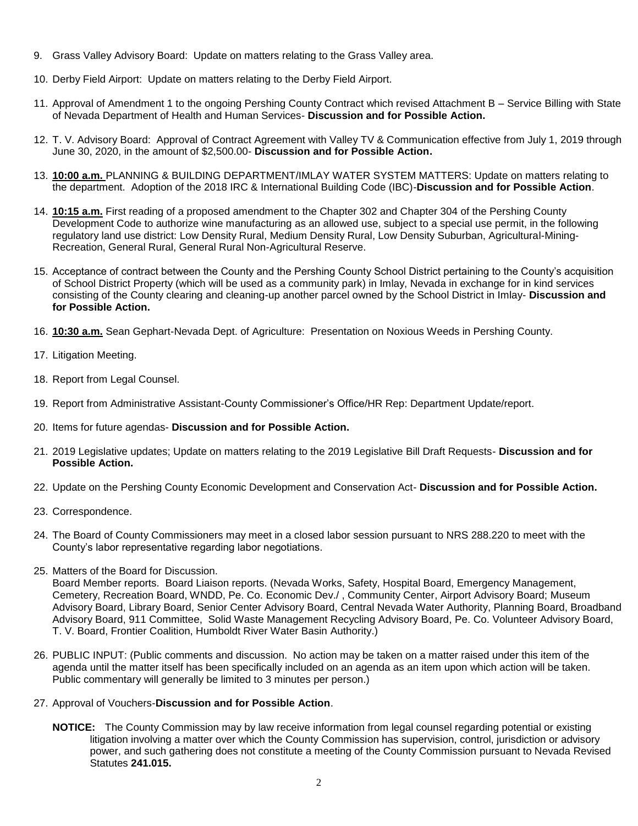- 9. Grass Valley Advisory Board: Update on matters relating to the Grass Valley area.
- 10. Derby Field Airport: Update on matters relating to the Derby Field Airport.
- 11. Approval of Amendment 1 to the ongoing Pershing County Contract which revised Attachment B Service Billing with State of Nevada Department of Health and Human Services- **Discussion and for Possible Action.**
- 12. T. V. Advisory Board: Approval of Contract Agreement with Valley TV & Communication effective from July 1, 2019 through June 30, 2020, in the amount of \$2,500.00- **Discussion and for Possible Action.**
- 13. **10:00 a.m.** PLANNING & BUILDING DEPARTMENT/IMLAY WATER SYSTEM MATTERS: Update on matters relating to the department. Adoption of the 2018 IRC & International Building Code (IBC)-**Discussion and for Possible Action**.
- 14. **10:15 a.m.** First reading of a proposed amendment to the Chapter 302 and Chapter 304 of the Pershing County Development Code to authorize wine manufacturing as an allowed use, subject to a special use permit, in the following regulatory land use district: Low Density Rural, Medium Density Rural, Low Density Suburban, Agricultural-Mining-Recreation, General Rural, General Rural Non-Agricultural Reserve.
- 15. Acceptance of contract between the County and the Pershing County School District pertaining to the County's acquisition of School District Property (which will be used as a community park) in Imlay, Nevada in exchange for in kind services consisting of the County clearing and cleaning-up another parcel owned by the School District in Imlay- **Discussion and for Possible Action.**
- 16. **10:30 a.m.** Sean Gephart-Nevada Dept. of Agriculture: Presentation on Noxious Weeds in Pershing County.
- 17. Litigation Meeting.
- 18. Report from Legal Counsel.
- 19. Report from Administrative Assistant-County Commissioner's Office/HR Rep: Department Update/report.
- 20. Items for future agendas- **Discussion and for Possible Action.**
- 21. 2019 Legislative updates; Update on matters relating to the 2019 Legislative Bill Draft Requests- **Discussion and for Possible Action.**
- 22. Update on the Pershing County Economic Development and Conservation Act- **Discussion and for Possible Action.**
- 23. Correspondence.
- 24. The Board of County Commissioners may meet in a closed labor session pursuant to NRS 288.220 to meet with the County's labor representative regarding labor negotiations.
- 25. Matters of the Board for Discussion.

Board Member reports. Board Liaison reports. (Nevada Works, Safety, Hospital Board, Emergency Management, Cemetery, Recreation Board, WNDD, Pe. Co. Economic Dev./ , Community Center, Airport Advisory Board; Museum Advisory Board, Library Board, Senior Center Advisory Board, Central Nevada Water Authority, Planning Board, Broadband Advisory Board, 911 Committee, Solid Waste Management Recycling Advisory Board, Pe. Co. Volunteer Advisory Board, T. V. Board, Frontier Coalition, Humboldt River Water Basin Authority.)

- 26. PUBLIC INPUT: (Public comments and discussion. No action may be taken on a matter raised under this item of the agenda until the matter itself has been specifically included on an agenda as an item upon which action will be taken. Public commentary will generally be limited to 3 minutes per person.)
- 27. Approval of Vouchers-**Discussion and for Possible Action**.
	- **NOTICE:** The County Commission may by law receive information from legal counsel regarding potential or existing litigation involving a matter over which the County Commission has supervision, control, jurisdiction or advisory power, and such gathering does not constitute a meeting of the County Commission pursuant to Nevada Revised Statutes **241.015.**